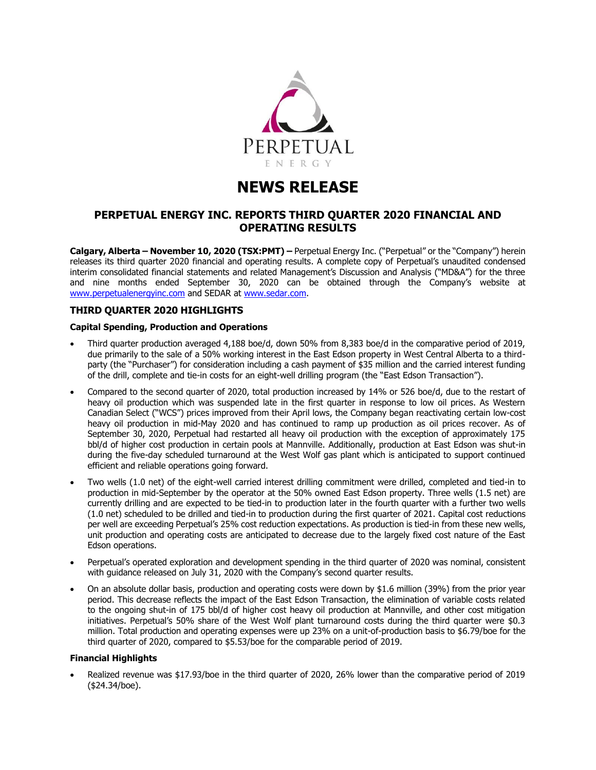

# **NEWS RELEASE**

# **PERPETUAL ENERGY INC. REPORTS THIRD QUARTER 2020 FINANCIAL AND OPERATING RESULTS**

**Calgary, Alberta – November 10, 2020 (TSX:PMT) –** Perpetual Energy Inc. ("Perpetual" or the "Company") herein releases its third quarter 2020 financial and operating results. A complete copy of Perpetual's unaudited condensed interim consolidated financial statements and related Management's Discussion and Analysis ("MD&A") for the three and nine months ended September 30, 2020 can be obtained through the Company's website at [www.perpetualenergyinc.com](http://www.perpetualenergyinc.com/) and SEDAR at [www.sedar.com.](http://www.sedar.com/)

## **THIRD QUARTER 2020 HIGHLIGHTS**

### **Capital Spending, Production and Operations**

- Third quarter production averaged 4,188 boe/d, down 50% from 8,383 boe/d in the comparative period of 2019, due primarily to the sale of a 50% working interest in the East Edson property in West Central Alberta to a thirdparty (the "Purchaser") for consideration including a cash payment of \$35 million and the carried interest funding of the drill, complete and tie-in costs for an eight-well drilling program (the "East Edson Transaction").
- Compared to the second quarter of 2020, total production increased by 14% or 526 boe/d, due to the restart of heavy oil production which was suspended late in the first quarter in response to low oil prices. As Western Canadian Select ("WCS") prices improved from their April lows, the Company began reactivating certain low-cost heavy oil production in mid-May 2020 and has continued to ramp up production as oil prices recover. As of September 30, 2020, Perpetual had restarted all heavy oil production with the exception of approximately 175 bbl/d of higher cost production in certain pools at Mannville. Additionally, production at East Edson was shut-in during the five-day scheduled turnaround at the West Wolf gas plant which is anticipated to support continued efficient and reliable operations going forward.
- Two wells (1.0 net) of the eight-well carried interest drilling commitment were drilled, completed and tied-in to production in mid-September by the operator at the 50% owned East Edson property. Three wells (1.5 net) are currently drilling and are expected to be tied-in to production later in the fourth quarter with a further two wells (1.0 net) scheduled to be drilled and tied-in to production during the first quarter of 2021. Capital cost reductions per well are exceeding Perpetual's 25% cost reduction expectations. As production is tied-in from these new wells, unit production and operating costs are anticipated to decrease due to the largely fixed cost nature of the East Edson operations.
- Perpetual's operated exploration and development spending in the third quarter of 2020 was nominal, consistent with guidance released on July 31, 2020 with the Company's second quarter results.
- On an absolute dollar basis, production and operating costs were down by \$1.6 million (39%) from the prior year period. This decrease reflects the impact of the East Edson Transaction, the elimination of variable costs related to the ongoing shut-in of 175 bbl/d of higher cost heavy oil production at Mannville, and other cost mitigation initiatives. Perpetual's 50% share of the West Wolf plant turnaround costs during the third quarter were \$0.3 million. Total production and operating expenses were up 23% on a unit-of-production basis to \$6.79/boe for the third quarter of 2020, compared to \$5.53/boe for the comparable period of 2019.

#### **Financial Highlights**

• Realized revenue was \$17.93/boe in the third quarter of 2020, 26% lower than the comparative period of 2019 (\$24.34/boe).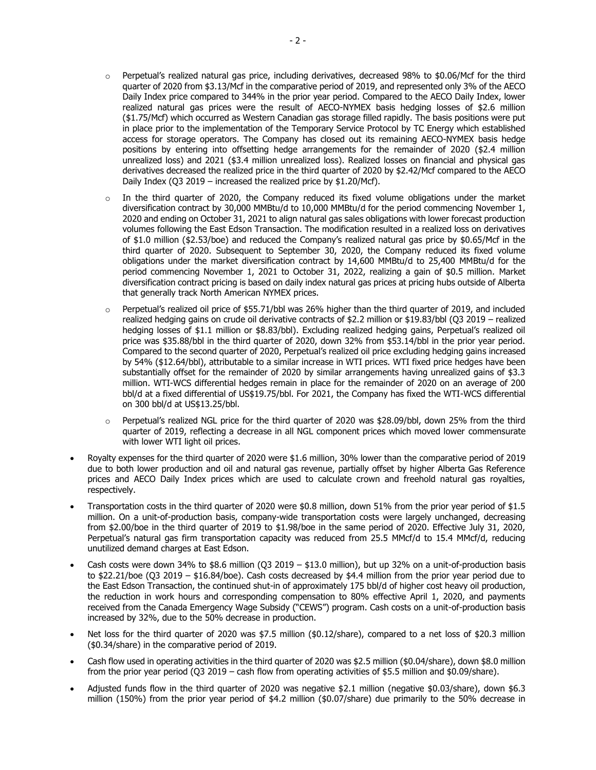- $\circ$  Perpetual's realized natural gas price, including derivatives, decreased 98% to \$0.06/Mcf for the third quarter of 2020 from \$3.13/Mcf in the comparative period of 2019, and represented only 3% of the AECO Daily Index price compared to 344% in the prior year period. Compared to the AECO Daily Index, lower realized natural gas prices were the result of AECO-NYMEX basis hedging losses of \$2.6 million (\$1.75/Mcf) which occurred as Western Canadian gas storage filled rapidly. The basis positions were put in place prior to the implementation of the Temporary Service Protocol by TC Energy which established access for storage operators. The Company has closed out its remaining AECO-NYMEX basis hedge positions by entering into offsetting hedge arrangements for the remainder of 2020 (\$2.4 million unrealized loss) and 2021 (\$3.4 million unrealized loss). Realized losses on financial and physical gas derivatives decreased the realized price in the third quarter of 2020 by \$2.42/Mcf compared to the AECO Daily Index (Q3 2019 – increased the realized price by \$1.20/Mcf).
- $\circ$  In the third quarter of 2020, the Company reduced its fixed volume obligations under the market diversification contract by 30,000 MMBtu/d to 10,000 MMBtu/d for the period commencing November 1, 2020 and ending on October 31, 2021 to align natural gas sales obligations with lower forecast production volumes following the East Edson Transaction. The modification resulted in a realized loss on derivatives of \$1.0 million (\$2.53/boe) and reduced the Company's realized natural gas price by \$0.65/Mcf in the third quarter of 2020. Subsequent to September 30, 2020, the Company reduced its fixed volume obligations under the market diversification contract by 14,600 MMBtu/d to 25,400 MMBtu/d for the period commencing November 1, 2021 to October 31, 2022, realizing a gain of \$0.5 million. Market diversification contract pricing is based on daily index natural gas prices at pricing hubs outside of Alberta that generally track North American NYMEX prices.
- $\circ$  Perpetual's realized oil price of \$55.71/bbl was 26% higher than the third quarter of 2019, and included realized hedging gains on crude oil derivative contracts of \$2.2 million or \$19.83/bbl (Q3 2019 – realized hedging losses of \$1.1 million or \$8.83/bbl). Excluding realized hedging gains, Perpetual's realized oil price was \$35.88/bbl in the third quarter of 2020, down 32% from \$53.14/bbl in the prior year period. Compared to the second quarter of 2020, Perpetual's realized oil price excluding hedging gains increased by 54% (\$12.64/bbl), attributable to a similar increase in WTI prices. WTI fixed price hedges have been substantially offset for the remainder of 2020 by similar arrangements having unrealized gains of \$3.3 million. WTI-WCS differential hedges remain in place for the remainder of 2020 on an average of 200 bbl/d at a fixed differential of US\$19.75/bbl. For 2021, the Company has fixed the WTI-WCS differential on 300 bbl/d at US\$13.25/bbl.
- $\circ$  Perpetual's realized NGL price for the third quarter of 2020 was \$28.09/bbl, down 25% from the third quarter of 2019, reflecting a decrease in all NGL component prices which moved lower commensurate with lower WTI light oil prices.
- Royalty expenses for the third quarter of 2020 were \$1.6 million, 30% lower than the comparative period of 2019 due to both lower production and oil and natural gas revenue, partially offset by higher Alberta Gas Reference prices and AECO Daily Index prices which are used to calculate crown and freehold natural gas royalties, respectively.
- Transportation costs in the third quarter of 2020 were \$0.8 million, down 51% from the prior year period of \$1.5 million. On a unit-of-production basis, company-wide transportation costs were largely unchanged, decreasing from \$2.00/boe in the third quarter of 2019 to \$1.98/boe in the same period of 2020. Effective July 31, 2020, Perpetual's natural gas firm transportation capacity was reduced from 25.5 MMcf/d to 15.4 MMcf/d, reducing unutilized demand charges at East Edson.
- Cash costs were down 34% to  $$8.6$  million (Q3 2019  $$13.0$  million), but up 32% on a unit-of-production basis to \$22.21/boe (Q3 2019 – \$16.84/boe). Cash costs decreased by \$4.4 million from the prior year period due to the East Edson Transaction, the continued shut-in of approximately 175 bbl/d of higher cost heavy oil production, the reduction in work hours and corresponding compensation to 80% effective April 1, 2020, and payments received from the Canada Emergency Wage Subsidy ("CEWS") program. Cash costs on a unit-of-production basis increased by 32%, due to the 50% decrease in production.
- Net loss for the third quarter of 2020 was \$7.5 million (\$0.12/share), compared to a net loss of \$20.3 million (\$0.34/share) in the comparative period of 2019.
- Cash flow used in operating activities in the third quarter of 2020 was \$2.5 million (\$0.04/share), down \$8.0 million from the prior year period (Q3 2019 – cash flow from operating activities of \$5.5 million and \$0.09/share).
- Adjusted funds flow in the third quarter of 2020 was negative \$2.1 million (negative \$0.03/share), down \$6.3 million (150%) from the prior year period of \$4.2 million (\$0.07/share) due primarily to the 50% decrease in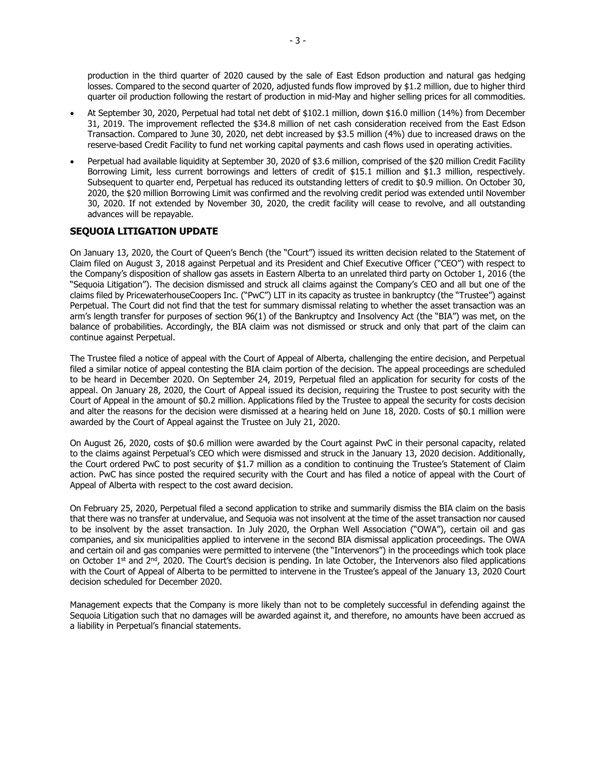production in the third quarter of 2020 caused by the sale of East Edson production and natural gas hedging losses. Compared to the second quarter of 2020, adjusted funds flow improved by \$1.2 million, due to higher third quarter oil production following the restart of production in mid-May and higher selling prices for all commodities.

- At September 30, 2020, Perpetual had total net debt of \$102.1 million, down \$16.0 million (14%) from December 31, 2019. The improvement reflected the \$34.8 million of net cash consideration received from the East Edson Transaction. Compared to June 30, 2020, net debt increased by \$3.5 million (4%) due to increased draws on the reserve-based Credit Facility to fund net working capital payments and cash flows used in operating activities.
- Perpetual had available liquidity at September 30, 2020 of \$3.6 million, comprised of the \$20 million Credit Facility Borrowing Limit, less current borrowings and letters of credit of \$15.1 million and \$1.3 million, respectively. Subsequent to quarter end, Perpetual has reduced its outstanding letters of credit to \$0.9 million. On October 30, 2020, the \$20 million Borrowing Limit was confirmed and the revolving credit period was extended until November 30, 2020. If not extended by November 30, 2020, the credit facility will cease to revolve, and all outstanding advances will be repayable.

## **SEQUOIA LITIGATION UPDATE**

On January 13, 2020, the Court of Queen's Bench (the "Court") issued its written decision related to the Statement of Claim filed on August 3, 2018 against Perpetual and its President and Chief Executive Officer ("CEO") with respect to the Company's disposition of shallow gas assets in Eastern Alberta to an unrelated third party on October 1, 2016 (the "Sequoia Litigation"). The decision dismissed and struck all claims against the Company's CEO and all but one of the claims filed by PricewaterhouseCoopers Inc. ("PwC") LIT in its capacity as trustee in bankruptcy (the "Trustee") against Perpetual. The Court did not find that the test for summary dismissal relating to whether the asset transaction was an arm's length transfer for purposes of section 96(1) of the Bankruptcy and Insolvency Act (the "BIA") was met, on the balance of probabilities. Accordingly, the BIA claim was not dismissed or struck and only that part of the claim can continue against Perpetual.

The Trustee filed a notice of appeal with the Court of Appeal of Alberta, challenging the entire decision, and Perpetual filed a similar notice of appeal contesting the BIA claim portion of the decision. The appeal proceedings are scheduled to be heard in December 2020. On September 24, 2019, Perpetual filed an application for security for costs of the appeal. On January 28, 2020, the Court of Appeal issued its decision, requiring the Trustee to post security with the Court of Appeal in the amount of \$0.2 million. Applications filed by the Trustee to appeal the security for costs decision and alter the reasons for the decision were dismissed at a hearing held on June 18, 2020. Costs of \$0.1 million were awarded by the Court of Appeal against the Trustee on July 21, 2020.

On August 26, 2020, costs of \$0.6 million were awarded by the Court against PwC in their personal capacity, related to the claims against Perpetual's CEO which were dismissed and struck in the January 13, 2020 decision. Additionally, the Court ordered PwC to post security of \$1.7 million as a condition to continuing the Trustee's Statement of Claim action. PwC has since posted the required security with the Court and has filed a notice of appeal with the Court of Appeal of Alberta with respect to the cost award decision.

On February 25, 2020, Perpetual filed a second application to strike and summarily dismiss the BIA claim on the basis that there was no transfer at undervalue, and Sequoia was not insolvent at the time of the asset transaction nor caused to be insolvent by the asset transaction. In July 2020, the Orphan Well Association ("OWA"), certain oil and gas companies, and six municipalities applied to intervene in the second BIA dismissal application proceedings. The OWA and certain oil and gas companies were permitted to intervene (the "Intervenors") in the proceedings which took place on October 1<sup>st</sup> and 2<sup>nd</sup>, 2020. The Court's decision is pending. In late October, the Intervenors also filed applications with the Court of Appeal of Alberta to be permitted to intervene in the Trustee's appeal of the January 13, 2020 Court decision scheduled for December 2020.

Management expects that the Company is more likely than not to be completely successful in defending against the Sequoia Litigation such that no damages will be awarded against it, and therefore, no amounts have been accrued as a liability in Perpetual's financial statements.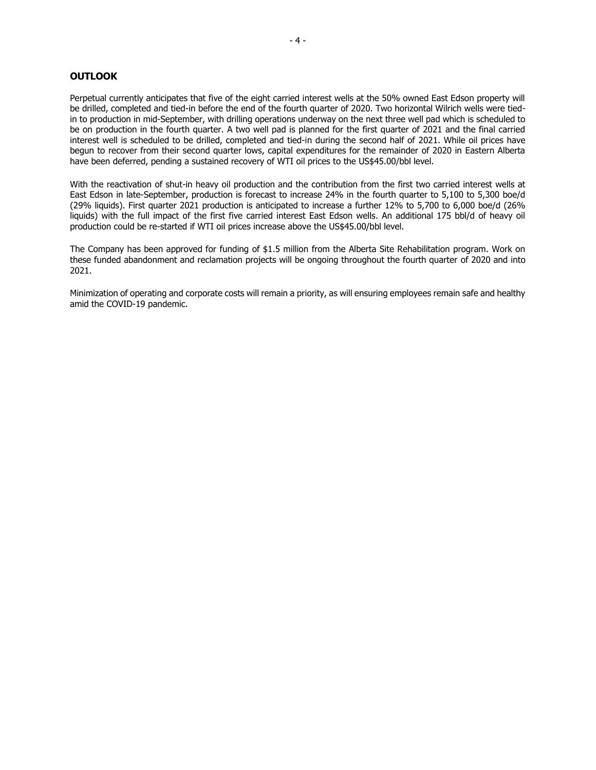## **OUTLOOK**

Perpetual currently anticipates that five of the eight carried interest wells at the 50% owned East Edson property will be drilled, completed and tied-in before the end of the fourth quarter of 2020. Two horizontal Wilrich wells were tiedin to production in mid-September, with drilling operations underway on the next three well pad which is scheduled to be on production in the fourth quarter. A two well pad is planned for the first quarter of 2021 and the final carried interest well is scheduled to be drilled, completed and tied-in during the second half of 2021. While oil prices have begun to recover from their second quarter lows, capital expenditures for the remainder of 2020 in Eastern Alberta have been deferred, pending a sustained recovery of WTI oil prices to the US\$45.00/bbl level.

With the reactivation of shut-in heavy oil production and the contribution from the first two carried interest wells at East Edson in late-September, production is forecast to increase 24% in the fourth quarter to 5,100 to 5,300 boe/d (29% liquids). First quarter 2021 production is anticipated to increase a further 12% to 5,700 to 6,000 boe/d (26% liquids) with the full impact of the first five carried interest East Edson wells. An additional 175 bbl/d of heavy oil production could be re-started if WTI oil prices increase above the US\$45.00/bbl level.

The Company has been approved for funding of \$1.5 million from the Alberta Site Rehabilitation program. Work on these funded abandonment and reclamation projects will be ongoing throughout the fourth quarter of 2020 and into 2021.

Minimization of operating and corporate costs will remain a priority, as will ensuring employees remain safe and healthy amid the COVID-19 pandemic.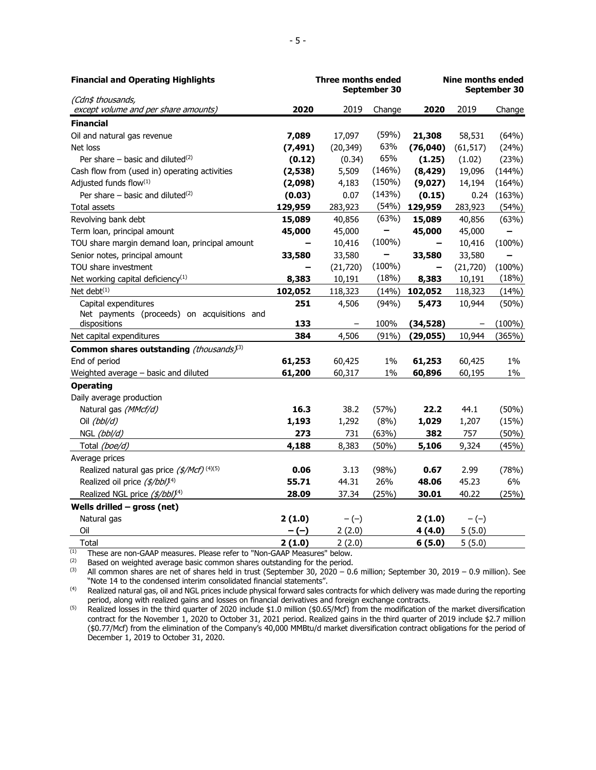| <b>Financial and Operating Highlights</b>                   |          | <b>Three months ended</b><br>September 30 |           | <b>Nine months ended</b><br>September 30 |                   |           |
|-------------------------------------------------------------|----------|-------------------------------------------|-----------|------------------------------------------|-------------------|-----------|
| (Cdn\$ thousands,                                           |          |                                           |           |                                          |                   |           |
| except volume and per share amounts)                        | 2020     | 2019                                      | Change    | 2020                                     | 2019              | Change    |
| <b>Financial</b>                                            |          |                                           |           |                                          |                   |           |
| Oil and natural gas revenue                                 | 7,089    | 17,097                                    | (59%)     | 21,308                                   | 58,531            | (64%)     |
| Net loss                                                    | (7, 491) | (20, 349)                                 | 63%       | (76, 040)                                | (61, 517)         | (24%)     |
| Per share $-$ basic and diluted <sup>(2)</sup>              | (0.12)   | (0.34)                                    | 65%       | (1.25)                                   | (1.02)            | (23%)     |
| Cash flow from (used in) operating activities               | (2, 538) | 5,509                                     | (146%)    | (8, 429)                                 | 19,096            | (144%)    |
| Adjusted funds flow(1)                                      | (2,098)  | 4,183                                     | (150%)    | (9,027)                                  | 14,194            | (164%)    |
| Per share $-$ basic and diluted <sup>(2)</sup>              | (0.03)   | 0.07                                      | (143%)    | (0.15)                                   | 0.24              | (163%)    |
| Total assets                                                | 129,959  | 283,923                                   | (54%)     | 129,959                                  | 283,923           | (54%)     |
| Revolving bank debt                                         | 15,089   | 40,856                                    | (63%)     | 15,089                                   | 40,856            | (63%)     |
| Term loan, principal amount                                 | 45,000   | 45,000                                    |           | 45,000                                   | 45,000            |           |
| TOU share margin demand loan, principal amount              |          | 10,416                                    | $(100\%)$ |                                          | 10,416            | $(100\%)$ |
| Senior notes, principal amount                              | 33,580   | 33,580                                    |           | 33,580                                   | 33,580            |           |
| TOU share investment                                        |          | (21, 720)                                 | $(100\%)$ |                                          | (21, 720)         | $(100\%)$ |
| Net working capital deficiency <sup>(1)</sup>               | 8,383    | 10,191                                    | (18%)     | 8,383                                    | 10,191            | (18%)     |
| Net debt $(1)$                                              | 102,052  | 118,323                                   | (14%)     | 102,052                                  | 118,323           | (14%)     |
| Capital expenditures                                        | 251      | 4,506                                     | (94%)     | 5,473                                    | 10,944            | (50%)     |
| Net payments (proceeds) on acquisitions and<br>dispositions | 133      |                                           | 100%      | (34, 528)                                | $\qquad \qquad -$ | $(100\%)$ |
| Net capital expenditures                                    | 384      | 4,506                                     | (91%)     | (29, 055)                                | 10,944            | (365%)    |
| Common shares outstanding (thousands)(3)                    |          |                                           |           |                                          |                   |           |
| End of period                                               | 61,253   | 60,425                                    | $1\%$     | 61,253                                   | 60,425            | $1\%$     |
| Weighted average - basic and diluted                        | 61,200   | 60,317                                    | 1%        | 60,896                                   | 60,195            | $1\%$     |
| <b>Operating</b>                                            |          |                                           |           |                                          |                   |           |
| Daily average production                                    |          |                                           |           |                                          |                   |           |
| Natural gas (MMcf/d)                                        | 16.3     | 38.2                                      | (57%)     | 22.2                                     | 44.1              | (50%)     |
| Oil (bbl/d)                                                 | 1,193    | 1,292                                     | (8%)      | 1,029                                    | 1,207             | (15%)     |
| NGL (bbl/d)                                                 | 273      | 731                                       | (63%)     | 382                                      | 757               | (50%)     |
| Total (boe/d)                                               | 4,188    | 8,383                                     | (50%)     | 5,106                                    | 9,324             | (45%)     |
| Average prices                                              |          |                                           |           |                                          |                   |           |
| Realized natural gas price (\$/Mcf) <sup>(4)(5)</sup>       | 0.06     | 3.13                                      | (98%)     | 0.67                                     | 2.99              | (78%)     |
| Realized oil price (\$/bbl)(4)                              | 55.71    | 44.31                                     | 26%       | 48.06                                    | 45.23             | 6%        |
| Realized NGL price (\$/bbl) <sup>(4)</sup>                  | 28.09    | 37.34                                     | (25%)     | 30.01                                    | 40.22             | (25%)     |
| Wells drilled $-$ gross (net)                               |          |                                           |           |                                          |                   |           |
| Natural gas                                                 | 2(1.0)   | $-(-)$                                    |           | 2(1.0)                                   | $-(-)$            |           |
| Oil                                                         | - (-)    | 2(2.0)                                    |           | 4(4.0)                                   | 5(5.0)            |           |
| Total                                                       | 2(1.0)   | 2(2.0)                                    |           | 6(5.0)                                   | 5(5.0)            |           |

 $(1)$  These are non-GAAP measures. Please refer to "Non-GAAP Measures" below.

(2) Based on weighted average basic common shares outstanding for the period.<br>
(3) All common shares are net of shares held in trust (Sentember 30, 2020 – 0.0)

(3) All common shares are net of shares held in trust (September 30, 2020 – 0.6 million; September 30, 2019 – 0.9 million). See "Note 14 to the condensed interim consolidated financial statements".

(4) Realized natural gas, oil and NGL prices include physical forward sales contracts for which delivery was made during the reporting period, along with realized gains and losses on financial derivatives and foreign exchange contracts.

<sup>(5)</sup> Realized losses in the third quarter of 2020 include \$1.0 million (\$0.65/Mcf) from the modification of the market diversification contract for the November 1, 2020 to October 31, 2021 period. Realized gains in the third quarter of 2019 include \$2.7 million (\$0.77/Mcf) from the elimination of the Company's 40,000 MMBtu/d market diversification contract obligations for the period of December 1, 2019 to October 31, 2020.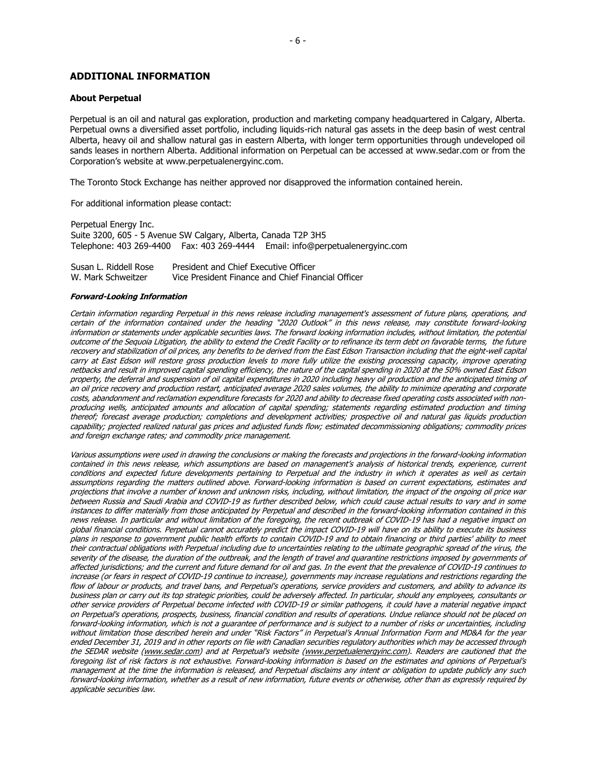## **ADDITIONAL INFORMATION**

#### **About Perpetual**

Perpetual is an oil and natural gas exploration, production and marketing company headquartered in Calgary, Alberta. Perpetual owns a diversified asset portfolio, including liquids-rich natural gas assets in the deep basin of west central Alberta, heavy oil and shallow natural gas in eastern Alberta, with longer term opportunities through undeveloped oil sands leases in northern Alberta. Additional information on Perpetual can be accessed at www.sedar.com or from the Corporation's website at www.perpetualenergyinc.com.

The Toronto Stock Exchange has neither approved nor disapproved the information contained herein.

For additional information please contact:

Perpetual Energy Inc. Suite 3200, 605 - 5 Avenue SW Calgary, Alberta, Canada T2P 3H5 Telephone: 403 269-4400 Fax: 403 269-4444 Email: info@perpetualenergyinc.com

Susan L. Riddell Rose W. Mark Schweitzer President and Chief Executive Officer Vice President Finance and Chief Financial Officer

#### **Forward-Looking Information**

Certain information regarding Perpetual in this news release including management's assessment of future plans, operations, and certain of the information contained under the heading "2020 Outlook" in this news release, may constitute forward-looking information or statements under applicable securities laws. The forward looking information includes, without limitation, the potential outcome of the Sequoia Litigation, the ability to extend the Credit Facility or to refinance its term debt on favorable terms, the future recovery and stabilization of oil prices, any benefits to be derived from the East Edson Transaction including that the eight-well capital carry at East Edson will restore gross production levels to more fully utilize the existing processing capacity, improve operating netbacks and result in improved capital spending efficiency, the nature of the capital spending in 2020 at the 50% owned East Edson property, the deferral and suspension of oil capital expenditures in 2020 including heavy oil production and the anticipated timing of an oil price recovery and production restart, anticipated average 2020 sales volumes, the ability to minimize operating and corporate costs, abandonment and reclamation expenditure forecasts for 2020 and ability to decrease fixed operating costs associated with nonproducing wells, anticipated amounts and allocation of capital spending; statements regarding estimated production and timing thereof; forecast average production; completions and development activities; prospective oil and natural gas liquids production capability; projected realized natural gas prices and adjusted funds flow; estimated decommissioning obligations; commodity prices and foreign exchange rates; and commodity price management.

Various assumptions were used in drawing the conclusions or making the forecasts and projections in the forward-looking information contained in this news release, which assumptions are based on management's analysis of historical trends, experience, current conditions and expected future developments pertaining to Perpetual and the industry in which it operates as well as certain assumptions regarding the matters outlined above. Forward-looking information is based on current expectations, estimates and projections that involve a number of known and unknown risks, including, without limitation, the impact of the ongoing oil price war between Russia and Saudi Arabia and COVID-19 as further described below, which could cause actual results to vary and in some instances to differ materially from those anticipated by Perpetual and described in the forward-looking information contained in this news release. In particular and without limitation of the foregoing, the recent outbreak of COVID-19 has had a negative impact on global financial conditions. Perpetual cannot accurately predict the impact COVID-19 will have on its ability to execute its business plans in response to government public health efforts to contain COVID-19 and to obtain financing or third parties' ability to meet their contractual obligations with Perpetual including due to uncertainties relating to the ultimate geographic spread of the virus, the severity of the disease, the duration of the outbreak, and the length of travel and quarantine restrictions imposed by governments of affected jurisdictions; and the current and future demand for oil and gas. In the event that the prevalence of COVID-19 continues to increase (or fears in respect of COVID-19 continue to increase), governments may increase regulations and restrictions regarding the flow of labour or products, and travel bans, and Perpetual's operations, service providers and customers, and ability to advance its business plan or carry out its top strategic priorities, could be adversely affected. In particular, should any employees, consultants or other service providers of Perpetual become infected with COVID-19 or similar pathogens, it could have a material negative impact on Perpetual's operations, prospects, business, financial condition and results of operations. Undue reliance should not be placed on forward-looking information, which is not a guarantee of performance and is subject to a number of risks or uncertainties, including without limitation those described herein and under "Risk Factors" in Perpetual's Annual Information Form and MD&A for the year ended December 31, 2019 and in other reports on file with Canadian securities regulatory authorities which may be accessed through the SEDAR website [\(www.sedar.com\)](http://www.sedar.com/) and at Perpetual's website [\(www.perpetualenergyinc.com\)](http://www.perpetualenergyinc.com/). Readers are cautioned that the foregoing list of risk factors is not exhaustive. Forward-looking information is based on the estimates and opinions of Perpetual's management at the time the information is released, and Perpetual disclaims any intent or obligation to update publicly any such forward-looking information, whether as a result of new information, future events or otherwise, other than as expressly required by applicable securities law.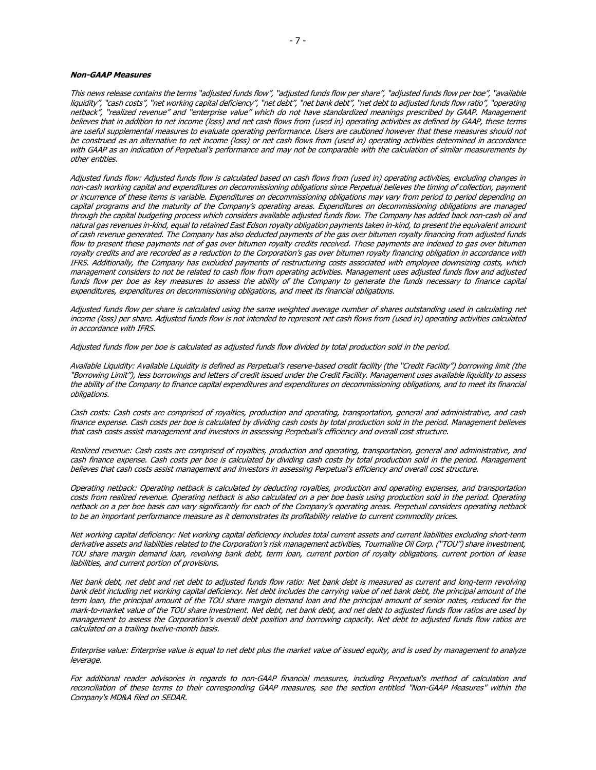#### **Non-GAAP Measures**

This news release contains the terms "adjusted funds flow", "adjusted funds flow per share", "adjusted funds flow per boe", "available liquidity", "cash costs", "net working capital deficiency", "net debt", "net bank debt", "net debt to adjusted funds flow ratio", "operating netback", "realized revenue" and "enterprise value" which do not have standardized meanings prescribed by GAAP. Management believes that in addition to net income (loss) and net cash flows from (used in) operating activities as defined by GAAP, these terms are useful supplemental measures to evaluate operating performance. Users are cautioned however that these measures should not be construed as an alternative to net income (loss) or net cash flows from (used in) operating activities determined in accordance with GAAP as an indication of Perpetual's performance and may not be comparable with the calculation of similar measurements by other entities.

Adjusted funds flow: Adjusted funds flow is calculated based on cash flows from (used in) operating activities, excluding changes in non-cash working capital and expenditures on decommissioning obligations since Perpetual believes the timing of collection, payment or incurrence of these items is variable. Expenditures on decommissioning obligations may vary from period to period depending on capital programs and the maturity of the Company's operating areas. Expenditures on decommissioning obligations are managed through the capital budgeting process which considers available adjusted funds flow. The Company has added back non-cash oil and natural gas revenues in-kind, equal to retained East Edson royalty obligation payments taken in-kind, to present the equivalent amount of cash revenue generated. The Company has also deducted payments of the gas over bitumen royalty financing from adjusted funds flow to present these payments net of gas over bitumen royalty credits received. These payments are indexed to gas over bitumen royalty credits and are recorded as a reduction to the Corporation's gas over bitumen royalty financing obligation in accordance with IFRS. Additionally, the Company has excluded payments of restructuring costs associated with employee downsizing costs, which management considers to not be related to cash flow from operating activities. Management uses adjusted funds flow and adjusted funds flow per boe as key measures to assess the ability of the Company to generate the funds necessary to finance capital expenditures, expenditures on decommissioning obligations, and meet its financial obligations.

Adjusted funds flow per share is calculated using the same weighted average number of shares outstanding used in calculating net income (loss) per share. Adjusted funds flow is not intended to represent net cash flows from (used in) operating activities calculated in accordance with IFRS.

Adjusted funds flow per boe is calculated as adjusted funds flow divided by total production sold in the period.

Available Liquidity: Available Liquidity is defined as Perpetual's reserve-based credit facility (the "Credit Facility") borrowing limit (the "Borrowing Limit"), less borrowings and letters of credit issued under the Credit Facility. Management uses available liquidity to assess the ability of the Company to finance capital expenditures and expenditures on decommissioning obligations, and to meet its financial obligations.

Cash costs: Cash costs are comprised of royalties, production and operating, transportation, general and administrative, and cash finance expense. Cash costs per boe is calculated by dividing cash costs by total production sold in the period. Management believes that cash costs assist management and investors in assessing Perpetual's efficiency and overall cost structure.

Realized revenue: Cash costs are comprised of royalties, production and operating, transportation, general and administrative, and cash finance expense. Cash costs per boe is calculated by dividing cash costs by total production sold in the period. Management believes that cash costs assist management and investors in assessing Perpetual's efficiency and overall cost structure.

Operating netback: Operating netback is calculated by deducting royalties, production and operating expenses, and transportation costs from realized revenue. Operating netback is also calculated on a per boe basis using production sold in the period. Operating netback on a per boe basis can vary significantly for each of the Company's operating areas. Perpetual considers operating netback to be an important performance measure as it demonstrates its profitability relative to current commodity prices.

Net working capital deficiency: Net working capital deficiency includes total current assets and current liabilities excluding short-term derivative assets and liabilities related to the Corporation's risk management activities, Tourmaline Oil Corp. ("TOU") share investment, TOU share margin demand loan, revolving bank debt, term loan, current portion of royalty obligations, current portion of lease liabilities, and current portion of provisions.

Net bank debt, net debt and net debt to adjusted funds flow ratio: Net bank debt is measured as current and long-term revolving bank debt including net working capital deficiency. Net debt includes the carrying value of net bank debt, the principal amount of the term loan, the principal amount of the TOU share margin demand loan and the principal amount of senior notes, reduced for the mark-to-market value of the TOU share investment. Net debt, net bank debt, and net debt to adjusted funds flow ratios are used by <sup>m</sup>anagement to assess the Corporation's overall debt position and borrowing capacity. Net debt to adjusted funds flow ratios ar<sup>e</sup> calculated on a trailing twelve-month basis.

Enterprise value: Enterprise value is equal to net debt plus the market value of issued equity, and is used by management to analyze leverage.

For additional reader advisories in regards to non-GAAP financial measures, including Perpetual's method of calculation and reconciliation of these terms to their corresponding GAAP measures, see the section entitled "Non-GAAP Measures" within the Company's MD&A filed on SEDAR.